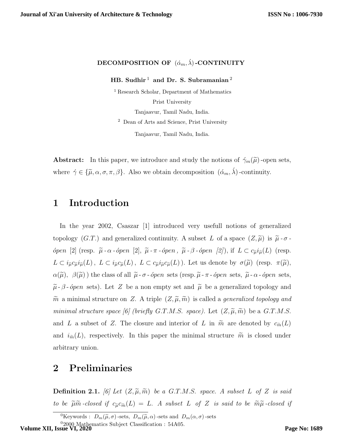## DECOMPOSITION OF  $(\acute{\alpha}_m, \acute{\lambda})$ -CONTINUITY

HB. Sudhir<sup>1</sup> and Dr. S. Subramanian<sup>2</sup>

<sup>1</sup> Research Scholar, Department of Mathematics Prist University Tanjaavur, Tamil Nadu, India. <sup>2</sup> Dean of Arts and Science, Prist University Tanjaavur, Tamil Nadu, India.

**Abstract:** In this paper, we introduce and study the notions of  $\gamma_m(\tilde{\mu})$ -open sets, where  $\gamma \in {\{\tilde{\mu}, \alpha, \sigma, \pi, \beta\}}$ . Also we obtain decomposition  $(\alpha_m, \lambda)$ -continuity.

## 1 Introduction

In the year 2002, Csaszar [1] introduced very usefull notions of generalized topology (G.T.) and generalized continuity. A subset L of a space  $(Z, \tilde{\mu})$  is  $\tilde{\mu}$ - $\sigma$  $ópen [2]$  (resp.  $\tilde{\mu}$  - α - ópen [2],  $\tilde{\mu}$  - π - ópen,  $\tilde{\mu}$  - β - ópen [2]), if  $L ⊂ c_{\tilde{\mu}}i_{\tilde{\mu}}(L)$  (resp.  $L \subset i_{\tilde{\mu}} c_{\tilde{\mu}} i_{\tilde{\mu}}(L)$ ,  $L \subset i_{\tilde{\mu}} c_{\tilde{\mu}}(L)$ ,  $L \subset c_{\tilde{\mu}} i_{\tilde{\mu}} c_{\tilde{\mu}}(L)$ ). Let us denote by  $\sigma(\tilde{\mu})$  (resp.  $\pi(\tilde{\mu})$ ,  $\alpha(\tilde{\mu}), \beta(\tilde{\mu})$  the class of all  $\tilde{\mu}$ - $\sigma$ - *ópen* sets (resp.  $\tilde{\mu}$ - $\pi$ - *ópen* sets,  $\tilde{\mu}$ - $\alpha$ - *ópen* sets,  $\tilde{\mu}$ - $\beta$ -*ópen* sets). Let Z be a non empty set and  $\tilde{\mu}$  be a generalized topology and  $\tilde{m}$  a minimal structure on Z. A triple  $(Z, \tilde{\mu}, \tilde{m})$  is called a *generalized topology and* minimal structure space [6] (briefly G.T.M.S. space). Let  $(Z, \tilde{\mu}, \tilde{m})$  be a G.T.M.S. and L a subset of Z. The closure and interior of L in  $\tilde{m}$  are denoted by  $c_{\tilde{m}}(L)$ and  $i_{\tilde{m}}(L)$ , respectively. In this paper the minimal structure  $\tilde{m}$  is closed under arbitrary union.

## 2 Preliminaries

**Definition 2.1.** [6] Let  $(Z, \tilde{\mu}, \tilde{m})$  be a G.T.M.S. space. A subset L of Z is said to be  $\widetilde{\mu}\widetilde{m}$ -closed if  $c_{\widetilde{\mu}}c_{\widetilde{m}}(L) = L$ . A subset L of Z is said to be  $\widetilde{m}\widetilde{\mu}$ -closed if

 $02000$  Mathematics Subject Classification : 54A05. **Volume XII, Issue VI, 2020**

<sup>&</sup>lt;sup>0</sup>Keywords :  $D_m(\tilde{\mu}, \sigma)$ -sets,  $D_m(\tilde{\mu}, \alpha)$ -sets and  $D_m(\alpha, \sigma)$ -sets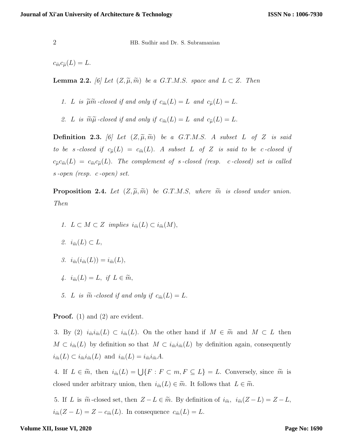$c_{\widetilde{m}}c_{\widetilde{\mu}}(L)=L.$ 

**Lemma 2.2.** [6] Let  $(Z, \widetilde{\mu}, \widetilde{m})$  be a G.T.M.S. space and  $L \subset Z$ . Then

1. L is  $\widetilde{\mu}\widetilde{m}$ -closed if and only if  $c_{\widetilde{m}}(L) = L$  and  $c_{\widetilde{\mu}}(L) = L$ .

2. L is  $\widetilde{m}\widetilde{\mu}$ -closed if and only if  $c_{\widetilde{m}}(L) = L$  and  $c_{\widetilde{\mu}}(L) = L$ .

**Definition 2.3.** [6] Let  $(Z, \tilde{\mu}, \tilde{m})$  be a G.T.M.S. A subset L of Z is said to be s-closed if  $c_{\tilde{\mu}}(L) = c_{\tilde{m}}(L)$ . A subset L of Z is said to be c-closed if  $c_{\tilde{\mu}}c_{\tilde{m}}(L) = c_{\tilde{m}}c_{\tilde{\mu}}(L)$ . The complement of s-closed (resp. c-closed) set is called s -open (resp. c -open) set.

**Proposition 2.4.** Let  $(Z, \tilde{\mu}, \tilde{m})$  be G.T.M.S, where  $\tilde{m}$  is closed under union. Then

- 1.  $L \subset M \subset Z$  implies  $i_{\widetilde{m}}(L) \subset i_{\widetilde{m}}(M)$ ,
- 2.  $i_{\widetilde{m}}(L) \subset L$ ,
- 3.  $i_{\widetilde{m}}(i_{\widetilde{m}}(L)) = i_{\widetilde{m}}(L),$
- 4.  $i_{\widetilde{m}}(L) = L$ , if  $L \in \widetilde{m}$ ,
- 5. L is  $\widetilde{m}$  -closed if and only if  $c_{\widetilde{m}}(L) = L$ .

Proof. (1) and (2) are evident.

3. By (2)  $i_{\tilde{m}}i_{\tilde{m}}(L) \subset i_{\tilde{m}}(L)$ . On the other hand if  $M \in \tilde{m}$  and  $M \subset L$  then  $M \subset i_{\tilde{m}}(L)$  by definition so that  $M \subset i_{\tilde{m}}i_{\tilde{m}}(L)$  by definition again, consequently  $i_{\tilde{m}}(L) \subset i_{\tilde{m}} i_{\tilde{m}}(L)$  and  $i_{\tilde{m}}(L) = i_{\tilde{m}} i_{\tilde{m}} A$ .

4. If  $L \in \widetilde{m}$ , then  $i_{\widetilde{m}}(L) = \bigcup \{F : F \subset m, F \subseteq L\} = L$ . Conversely, since  $\widetilde{m}$  is closed under arbitrary union, then  $i_{\tilde{m}}(L) \in \tilde{m}$ . It follows that  $L \in \tilde{m}$ .

5. If L is  $\tilde{m}$ -closed set, then  $Z - L \in \tilde{m}$ . By definition of  $i_{\tilde{m}}$ ,  $i_{\tilde{m}}(Z - L) = Z - L$ ,  $i_{\tilde{m}}(Z-L) = Z - c_{\tilde{m}}(L)$ . In consequence  $c_{\tilde{m}}(L) = L$ .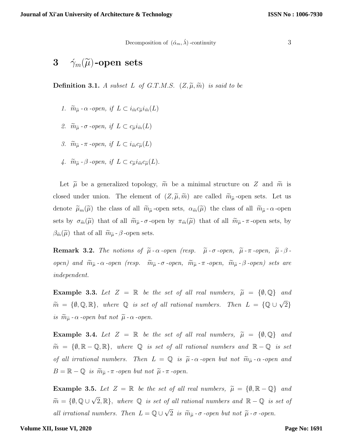Decomposition of  $(\dot{\alpha}_m, \dot{\lambda})$ -continuity 3

# 3  $\gamma_m(\widetilde{\mu})$ -open sets

**Definition 3.1.** A subset L of G.T.M.S.  $(Z, \widetilde{\mu}, \widetilde{m})$  is said to be

- 1.  $\widetilde{m}_{\widetilde{u}}$   $\alpha$  -open, if  $L \subset i_{\widetilde{m}} c_{\widetilde{u}} i_{\widetilde{m}}(L)$
- 2.  $\widetilde{m}_{\widetilde{u}}$   $\sigma$  -open, if  $L \subset c_{\widetilde{u}} i_{\widetilde{m}}(L)$
- 3.  $\widetilde{m}_{\widetilde{\mu}}$   $\pi$  -open, if  $L \subset i_{\widetilde{m}}c_{\widetilde{\mu}}(L)$
- 4.  $\widetilde{m}_{\widetilde{\mu}}$   $\beta$  -open, if  $L \subset c_{\widetilde{\mu}} i_{\widetilde{m}} c_{\widetilde{\mu}}(L)$ .

Let  $\tilde{\mu}$  be a generalized topology,  $\tilde{m}$  be a minimal structure on Z and  $\tilde{m}$  is closed under union. The element of  $(Z, \tilde{\mu}, \tilde{m})$  are called  $\tilde{m}_{\tilde{\mu}}$ -open sets. Let us denote  $\widetilde{\mu}_m(\widetilde{\mu})$  the class of all  $\widetilde{m}_{\widetilde{\mu}}$ -open sets,  $\alpha_{\widetilde{m}}(\widetilde{\mu})$  the class of all  $\widetilde{m}_{\widetilde{\mu}}$ - $\alpha$ -open sets by  $\sigma_{\widetilde{m}}(\widetilde{\mu})$  that of all  $\widetilde{m}_{\widetilde{\mu}}$  -  $\sigma$  -open by  $\pi_{\widetilde{m}}(\widetilde{\mu})$  that of all  $\widetilde{m}_{\widetilde{\mu}}$  -  $\pi$  -open sets, by  $\beta_{\widetilde{m}}(\widetilde{\mu})$  that of all  $\widetilde{m}_{\widetilde{\mu}}$  -  $\beta$  -open sets.

**Remark 3.2.** The notions of  $\tilde{\mu}$ - $\alpha$ -open (resp.  $\tilde{\mu}$ - $\sigma$ -open,  $\tilde{\mu}$ - $\pi$ -open,  $\tilde{\mu}$ - $\beta$ open) and  $\widetilde{m}_{\widetilde{\mu}}$  -  $\alpha$  -open (resp.  $\widetilde{m}_{\widetilde{\mu}}$  -  $\sigma$  -open,  $\widetilde{m}_{\widetilde{\mu}}$  -  $\pi$  -open,  $\widetilde{m}_{\widetilde{\mu}}$  -  $\beta$  -open) sets are independent.

Example 3.3. Let  $Z = \mathbb{R}$  be the set of all real numbers,  $\widetilde{\mu} = \{\emptyset, \mathbb{Q}\}$  and  $\widetilde{m} = \{\emptyset, \mathbb{Q}, \mathbb{R}\},\$  where  $\mathbb{Q}$  is set of all rational numbers. Then  $L = \{\mathbb{Q} \cup \sqrt{\mathbb{Q}}\}$ 2} is  $\widetilde{m}_{\widetilde{\mu}}$  -  $\alpha$  -open but not  $\widetilde{\mu}$  -  $\alpha$  -open.

Example 3.4. Let  $Z = \mathbb{R}$  be the set of all real numbers,  $\widetilde{\mu} = {\emptyset, \mathbb{Q}}$  and  $\widetilde{m} = \{\emptyset, \mathbb{R} - \mathbb{Q}, \mathbb{R}\},\$  where  $\mathbb{Q}$  is set of all rational numbers and  $\mathbb{R} - \mathbb{Q}$  is set of all irrational numbers. Then  $L = \mathbb{Q}$  is  $\tilde{\mu}$ - $\alpha$ -open but not  $\tilde{m}_{\tilde{\mu}}$ - $\alpha$ -open and  $B = \mathbb{R} - \mathbb{Q}$  is  $\widetilde{m}_{\widetilde{\mu}}$  -  $\pi$  -open but not  $\widetilde{\mu}$  -  $\pi$  -open.

Example 3.5. Let  $Z = \mathbb{R}$  be the set of all real numbers,  $\widetilde{\mu} = \{\emptyset, \mathbb{R} - \mathbb{Q}\}\$  and  $\widetilde{m} = \{ \emptyset, \mathbb{Q} \cup \sqrt{2}, \mathbb{R} \},$  where  $\mathbb{Q}$  is set of all rational numbers and  $\mathbb{R} - \mathbb{Q}$  is set of all irrational numbers. Then  $L = \mathbb{Q} \cup \sqrt{2}$ 2 is  $\widetilde{m}_{\widetilde{\mu}}$  -  $\sigma$  -open but not  $\widetilde{\mu}$  -  $\sigma$  -open.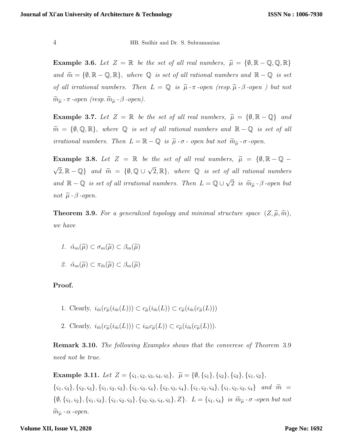Example 3.6. Let  $Z = \mathbb{R}$  be the set of all real numbers,  $\widetilde{\mu} = \{\emptyset, \mathbb{R} - \mathbb{Q}, \mathbb{Q}, \mathbb{R}\}$ and  $\widetilde{m} = \{\emptyset, \mathbb{R} - \mathbb{Q}, \mathbb{R}\},\$  where  $\mathbb{Q}$  is set of all rational numbers and  $\mathbb{R} - \mathbb{Q}$  is set of all irrational numbers. Then  $L = \mathbb{Q}$  is  $\tilde{\mu}$ - $\pi$ -open (resp.  $\tilde{\mu}$ - $\beta$ -open) but not  $\widetilde{m}_{\widetilde{\mu}}$  -  $\pi$  -open (resp.  $\widetilde{m}_{\widetilde{\mu}}$  -  $\beta$  -open).

Example 3.7. Let  $Z = \mathbb{R}$  be the set of all real numbers,  $\tilde{\mu} = \{\emptyset, \mathbb{R} - \mathbb{Q}\}\$  and  $\widetilde{m} \ = \ \{\emptyset, \mathbb{Q}, \mathbb{R}\}, \ \ where \ \ \mathbb{Q} \ \ is \ set \ of \ all \ rational \ numbers \ and \ \ \mathbb{R} - \mathbb{Q} \ \ is \ set \ of \ all \$ irrational numbers. Then  $L = \mathbb{R} - \mathbb{Q}$  is  $\tilde{\mu}$ - $\sigma$ -open but not  $\tilde{m}_{\tilde{\mu}}$ - $\sigma$ -open.

Example 3.8. Let  $Z = \mathbb{R}$  be the set of all real numbers,  $\widetilde{\mu} = \{ \emptyset, \mathbb{R} - \mathbb{Q} - \mathbb{R} \}$  $\sqrt{2}, \mathbb{R} - \mathbb{Q}$  and  $\widetilde{m} = \{ \emptyset, \mathbb{Q} \cup \sqrt{2}, \mathbb{R} \},$  where  $\mathbb{Q}$  is set of all rational numbers and  $\mathbb{R} - \mathbb{Q}$  is set of all irrational numbers. Then  $L = \mathbb{Q} \cup \sqrt{Q}$ 2 is  $\widetilde{m}_{\widetilde{\mu}}$  -  $\beta$  -open but not  $\widetilde{\mu}$  -  $\beta$  -open.

**Theorem 3.9.** For a generalized topology and minimal structure space  $(Z, \tilde{\mu}, \tilde{m})$ , we have

- 1.  $\alpha_m(\widetilde{\mu}) \subset \sigma_m(\widetilde{\mu}) \subset \beta_m(\widetilde{\mu})$
- 2.  $\alpha_m(\widetilde{\mu}) \subset \pi_{\widetilde{m}}(\widetilde{\mu}) \subset \beta_m(\widetilde{\mu})$

## Proof.

- 1. Clearly,  $i_{\widetilde{m}}(c_{\widetilde{u}}(i_{\widetilde{m}}(L))) \subset c_{\widetilde{u}}(i_{\widetilde{m}}(L)) \subset c_{\widetilde{u}}(i_{\widetilde{m}}(c_{\widetilde{u}}(L)))$
- 2. Clearly,  $i_{\widetilde{m}}(c_{\widetilde{u}}(i_{\widetilde{m}}(L))) \subset i_{\widetilde{m}}c_{\widetilde{u}}(L)) \subset c_{\widetilde{u}}(i_{\widetilde{m}}(c_{\widetilde{u}}(L))).$

Remark 3.10. The following Examples shows that the converese of Theorem 3.9 need not be true.

Example 3.11. Let  $Z = \{ \varsigma_1, \varsigma_2, \varsigma_3, \varsigma_4, \varsigma_5 \}, \ \widetilde{\mu} = \{ \emptyset, \{ \varsigma_1 \}, \{ \varsigma_2 \}, \{ \varsigma_3 \}, \{ \varsigma_1, \varsigma_2 \}, \$  ${\varsigma_1, \varsigma_3}, {\varsigma_2, \varsigma_3}, {\varsigma_1, \varsigma_2, \varsigma_3}, {\varsigma_1, \varsigma_3, \varsigma_4}, {\varsigma_2, \varsigma_3, \varsigma_4}, {\varsigma_1, \varsigma_2, \varsigma_4}, {\varsigma_1, \varsigma_2, \varsigma_3, \varsigma_4}$  and  $\widetilde{m} =$  $\{\emptyset, \{\varsigma_1, \varsigma_2\}, \{\varsigma_1, \varsigma_3\}, \{\varsigma_1, \varsigma_2, \varsigma_3\}, \{\varsigma_2, \varsigma_3, \varsigma_4, \varsigma_5\}, Z\}.$  L =  $\{\varsigma_1, \varsigma_4\}$  is  $\widetilde{m}_{\widetilde{\mu}}$  -  $\sigma$  -open but not  $\widetilde{m}_{\widetilde{\mu}}$  -  $\alpha$  -open.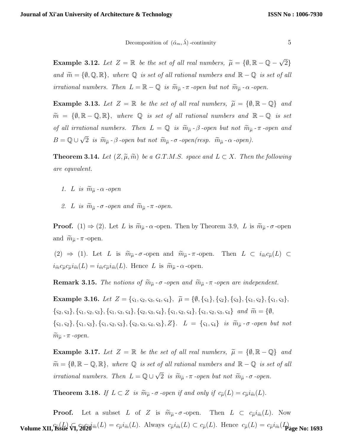### Decomposition of  $(\dot{\alpha}_m, \dot{\lambda})$ -continuity 5

**Example 3.12.** Let  $Z = \mathbb{R}$  be the set of all real numbers,  $\widetilde{\mu} = \{ \emptyset, \mathbb{R} - \mathbb{Q} - \sqrt{\frac{\mu^2}{2}} \}$ 2} and  $\widetilde{m} = \{\emptyset, \mathbb{Q}, \mathbb{R}\},\$  where  $\mathbb{Q}$  is set of all rational numbers and  $\mathbb{R} - \mathbb{Q}$  is set of all irrational numbers. Then  $L = \mathbb{R} - \mathbb{Q}$  is  $\widetilde{m}_{\widetilde{\mu}}$  -  $\pi$  -open but not  $\widetilde{m}_{\widetilde{\mu}}$  -  $\alpha$  -open.

**Example 3.13.** Let  $Z = \mathbb{R}$  be the set of all real numbers,  $\widetilde{\mu} = \{\emptyset, \mathbb{R} - \mathbb{Q}\}\$  and  $\widetilde{m} = \{\emptyset, \mathbb{R} - \mathbb{Q}, \mathbb{R}\},\$  where  $\mathbb{Q}$  is set of all rational numbers and  $\mathbb{R} - \mathbb{Q}$  is set of all irrational numbers. Then  $L = \mathbb{Q}$  is  $\widetilde{m}_{\widetilde{\mu}}$  -  $\beta$  -open but not  $\widetilde{m}_{\widetilde{\mu}}$  -  $\pi$  -open and  $B = \mathbb{Q} \cup \sqrt{2}$ 2 is  $\widetilde{m}_{\widetilde{\mu}}$  -  $\beta$  -open but not  $\widetilde{m}_{\widetilde{\mu}}$  -  $\sigma$  -open(resp.  $\widetilde{m}_{\widetilde{\mu}}$  -  $\alpha$  -open).

**Theorem 3.14.** Let  $(Z, \tilde{\mu}, \tilde{m})$  be a G.T.M.S. space and  $L \subset X$ . Then the following are equvalent.

- 1. L is  $\widetilde{m}_{\widetilde{\mu}}$   $\alpha$  -open
- 2. L is  $\widetilde{m}_{\widetilde{\mu}}$   $\sigma$  -open and  $\widetilde{m}_{\widetilde{\mu}}$   $\pi$  -open.

**Proof.** (1)  $\Rightarrow$  (2). Let L is  $\widetilde{m}_{\widetilde{\mu}}$  -  $\alpha$  -open. Then by Theorem 3.9, L is  $\widetilde{m}_{\widetilde{\mu}}$  -  $\sigma$  -open and  $\widetilde{m}_{\widetilde{\mu}}$  -  $\pi$  -open.

(2)  $\Rightarrow$  (1). Let L is  $\widetilde{m}_{\widetilde{\mu}} \cdot \sigma$ -open and  $\widetilde{m}_{\widetilde{\mu}} \cdot \pi$ -open. Then  $L \subset i_{\widetilde{m}} c_{\widetilde{\mu}}(L) \subset$  $i_{\tilde{m}}c_{\tilde{\mu}}c_{\tilde{\mu}}i_{\tilde{m}}(L) = i_{\tilde{m}}c_{\tilde{\mu}}i_{\tilde{m}}(L)$ . Hence L is  $\tilde{m}_{\tilde{\mu}}$ - $\alpha$ -open.

**Remark 3.15.** The notions of  $\widetilde{m}_{\widetilde{\mu}}$  -  $\sigma$  -open and  $\widetilde{m}_{\widetilde{\mu}}$  -  $\pi$  -open are independent.

Example 3.16. Let  $Z = \{\zeta_1, \zeta_2, \zeta_3, \zeta_4, \zeta_4\}, \ \tilde{\mu} = \{\emptyset, \{\zeta_1\}, \{\zeta_2\}, \{\zeta_3\}, \{\zeta_1, \zeta_2\}, \{\zeta_1, \zeta_3\},\}$  $\{\zeta_2,\zeta_3\},\{\zeta_1,\zeta_2,\zeta_3\},\{\zeta_1,\zeta_3,\zeta_4\},\{\zeta_2,\zeta_3,\zeta_4\},\{\zeta_1,\zeta_2,\zeta_3,\zeta_4\}$  and  $\widetilde{m} = \{\emptyset,$  $\{\zeta_1, \zeta_2\}, \{\zeta_1, \zeta_3\}, \{\zeta_1, \zeta_2, \zeta_3\}, \{\zeta_2, \zeta_3, \zeta_4, \zeta_5\}, Z\}.$   $L = \{\zeta_1, \zeta_4\}$  is  $\widetilde{m}_{\widetilde{\mu}}$  -  $\sigma$  -open but not  $\widetilde{m}_{\widetilde{\mu}}$  -  $\pi$  -open.

Example 3.17. Let  $Z = \mathbb{R}$  be the set of all real numbers,  $\widetilde{\mu} = \{\emptyset, \mathbb{R} - \mathbb{Q}\}\$  and  $\widetilde{m} = \{\emptyset, \mathbb{R}-\mathbb{Q}, \mathbb{R}\}, \ where \ \mathbb{Q} \ \ is \ set \ of \ all \ rational \ numbers \ and \ \mathbb{R}-\mathbb{Q} \ \ is \ set \ of \ all \$ irrational numbers. Then  $L = \mathbb{Q} \cup \sqrt{\mathbb{Q}}$ 2 is  $\widetilde{m}_{\widetilde{\mu}}$  -  $\pi$  -open but not  $\widetilde{m}_{\widetilde{\mu}}$  -  $\sigma$  -open.

**Theorem 3.18.** If  $L \subset Z$  is  $\widetilde{m}_{\widetilde{\mu}} \cdot \sigma$  -open if and only if  $c_{\widetilde{\mu}}(L) = c_{\widetilde{\mu}} i_{\widetilde{m}}(L)$ .

**Proof.** Let a subset L of Z is  $\widetilde{m}_{\widetilde{\mu}} \cdot \sigma$ -open. Then  $L \subset c_{\widetilde{\mu}} i_{\widetilde{m}}(L)$ . Now **Volume XII, Issue**  $\widehat{\mathbf{v}_1}$ **,**  $\widehat{\mathbf{z}}$ **020** $\widehat{i}$ m $(L) = c_{\widetilde{\mu}} i_{\widetilde{m}}(L)$ . Always  $c_{\widetilde{\mu}} i_{\widetilde{m}}(L) \subset c_{\widetilde{\mu}}(L)$ . Hence  $c_{\widetilde{\mu}}(L) = c_{\widetilde{\mu}} i_{\widetilde{m}}(L)$ .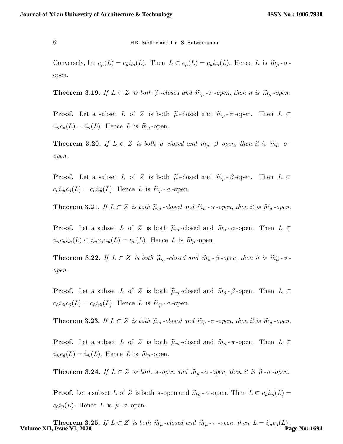Conversely, let  $c_{\tilde{\mu}}(L) = c_{\tilde{\mu}} i_{\tilde{m}}(L)$ . Then  $L \subset c_{\tilde{\mu}}(L) = c_{\tilde{\mu}} i_{\tilde{m}}(L)$ . Hence L is  $\tilde{m}_{\tilde{\mu}} \cdot \sigma$ open.

**Theorem 3.19.** If  $L \subset Z$  is both  $\tilde{\mu}$ -closed and  $\tilde{m}_{\tilde{\mu}}$ - $\pi$ -open, then it is  $\tilde{m}_{\tilde{\mu}}$ -open.

**Proof.** Let a subset L of Z is both  $\tilde{\mu}$ -closed and  $\tilde{m}_{\tilde{\mu}}$ - $\pi$ -open. Then L ⊂  $i_{\tilde{m}}c_{\tilde{\mu}}(L) = i_{\tilde{m}}(L)$ . Hence L is  $\tilde{m}_{\tilde{\mu}}$ -open.

**Theorem 3.20.** If  $L \subset Z$  is both  $\tilde{\mu}$ -closed and  $\tilde{m}_{\tilde{\mu}}$ - $\beta$ -open, then it is  $\tilde{m}_{\tilde{\mu}}$ - $\sigma$ open.

**Proof.** Let a subset L of Z is both  $\tilde{\mu}$ -closed and  $\tilde{m}_{\tilde{\mu}}$ - $\beta$ -open. Then L ⊂  $c_{\tilde{\mu}} i_{\tilde{m}} c_{\tilde{\mu}}(L) = c_{\tilde{\mu}} i_{\tilde{m}}(L)$ . Hence L is  $\tilde{m}_{\tilde{\mu}}$  -  $\sigma$  -open.

**Theorem 3.21.** If  $L \subset Z$  is both  $\widetilde{\mu}_m$  -closed and  $\widetilde{m}_{\widetilde{\mu}}$  - $\alpha$  -open, then it is  $\widetilde{m}_{\widetilde{\mu}}$  -open.

**Proof.** Let a subset L of Z is both  $\tilde{\mu}_m$ -closed and  $\tilde{m}_{\tilde{\mu}}$ - $\alpha$ -open. Then L ⊂  $i_{\tilde{m}}c_{\tilde{\mu}}i_{\tilde{m}}(L) \subset i_{\tilde{m}}c_{\tilde{\mu}}c_{\tilde{m}}(L) = i_{\tilde{m}}(L)$ . Hence L is  $\tilde{m}_{\tilde{\mu}}$ -open.

**Theorem 3.22.** If  $L \subset Z$  is both  $\tilde{\mu}_m$ -closed and  $\tilde{m}_{\tilde{\mu}}$ - $\beta$ -open, then it is  $\tilde{m}_{\tilde{\mu}}$ - $\sigma$ open.

**Proof.** Let a subset L of Z is both  $\tilde{\mu}_m$ -closed and  $\tilde{m}_{\tilde{\mu}}$ - $\beta$ -open. Then L ⊂  $c_{\tilde{\mu}} i_{\tilde{m}} c_{\tilde{\mu}}(L) = c_{\tilde{\mu}} i_{\tilde{m}}(L)$ . Hence L is  $\tilde{m}_{\tilde{\mu}}$  -  $\sigma$  -open.

**Theorem 3.23.** If  $L \subset Z$  is both  $\widetilde{\mu}_m$  -closed and  $\widetilde{m}_{\widetilde{\mu}}$  - $\pi$  -open, then it is  $\widetilde{m}_{\widetilde{\mu}}$  -open.

**Proof.** Let a subset L of Z is both  $\tilde{\mu}_m$ -closed and  $\tilde{m}_{\tilde{\mu}}$ - $\pi$ -open. Then L ⊂  $i_{\tilde{m}}c_{\tilde{\mu}}(L) = i_{\tilde{m}}(L)$ . Hence L is  $\tilde{m}_{\tilde{\mu}}$ -open.

**Theorem 3.24.** If  $L \subset Z$  is both s-open and  $\widetilde{m}_{\widetilde{\mu}}$  -  $\alpha$ -open, then it is  $\widetilde{\mu}$ - $\sigma$ -open.

**Proof.** Let a subset L of Z is both s-open and  $\widetilde{m}_{\widetilde{\mu}}$  -  $\alpha$ -open. Then  $L \subset c_{\widetilde{\mu}} i_{\widetilde{m}}(L)$  =  $c_{\tilde{\mu}}i_{\tilde{\mu}}(L)$ . Hence L is  $\tilde{\mu}$ - $\sigma$ -open.

**Theorem 3.25.** If  $L \subset Z$  is both  $\widetilde{m}_{\widetilde{\mu}}$  -closed and  $\widetilde{m}_{\widetilde{\mu}}$  - $\pi$  -open, then  $L = i_{\widetilde{m}} c_{\widetilde{\mu}}(L)$ .<br>**Page No: 1694**<br>**Page No: 1694**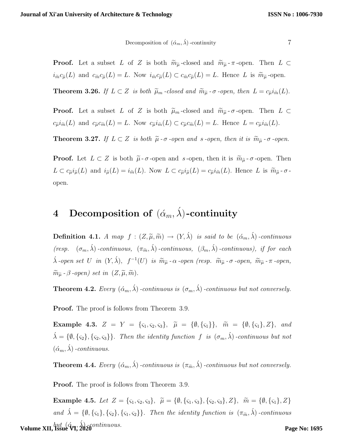Decomposition of 
$$
(\acute{\alpha}_m, \acute{\lambda})
$$
-continuity

**Proof.** Let a subset L of Z is both  $\widetilde{m}_{\widetilde{\mu}}$ -closed and  $\widetilde{m}_{\widetilde{\mu}}$ - $\pi$ -open. Then L ⊂  $i_{\tilde{m}}c_{\tilde{\mu}}(L)$  and  $c_{\tilde{m}}c_{\tilde{\mu}}(L) = L$ . Now  $i_{\tilde{m}}c_{\tilde{\mu}}(L) \subset c_{\tilde{m}}c_{\tilde{\mu}}(L) = L$ . Hence L is  $\tilde{m}_{\tilde{\mu}}$ -open.

**Theorem 3.26.** If  $L \subset Z$  is both  $\widetilde{\mu}_m$ -closed and  $\widetilde{m}_{\widetilde{\mu}}$ - $\sigma$ -open, then  $L = c_{\widetilde{\mu}} i_{\widetilde{m}}(L)$ .

**Proof.** Let a subset L of Z is both  $\tilde{\mu}_m$ -closed and  $\tilde{m}_{\tilde{\mu}}$ - $\sigma$ -open. Then L ⊂  $c_{\tilde{\mu}}i_{\tilde{m}}(L)$  and  $c_{\tilde{\mu}}c_{\tilde{m}}(L) = L$ . Now  $c_{\tilde{\mu}}i_{\tilde{m}}(L) \subset c_{\tilde{\mu}}c_{\tilde{m}}(L) = L$ . Hence  $L = c_{\tilde{\mu}}i_{\tilde{m}}(L)$ .

**Theorem 3.27.** If  $L \subset Z$  is both  $\tilde{\mu}$  -  $\sigma$  -open and s -open, then it is  $\tilde{m}_{\tilde{\mu}}$  -  $\sigma$  -open.

**Proof.** Let  $L \subset Z$  is both  $\tilde{\mu}$ - $\sigma$ -open and s-open, then it is  $\tilde{m}_{\tilde{\mu}}$ - $\sigma$ -open. Then  $L \subset c_{\tilde{\mu}} i_{\tilde{\mu}}(L)$  and  $i_{\tilde{\mu}}(L) = i_{\tilde{m}}(L)$ . Now  $L \subset c_{\tilde{\mu}} i_{\tilde{\mu}}(L) = c_{\tilde{\mu}} i_{\tilde{m}}(L)$ . Hence L is  $\tilde{m}_{\tilde{\mu}}$ - $\sigma$ open.

# 4 Decomposition of  $(\alpha_m, \lambda)$ -continuity

**Definition 4.1.** A map  $f : (Z, \widetilde{\mu}, \widetilde{m}) \to (Y, \widetilde{\lambda})$  is said to be  $(\alpha_m, \widetilde{\lambda})$ -continuous (resp.  $(\sigma_m, \acute{\lambda})$ -continuous,  $(\pi_{\widetilde{m}}, \acute{\lambda})$ -continuous,  $(\beta_m, \acute{\lambda})$ -continuous), if for each  $\acute{\lambda}$ -open set U in  $(Y, \acute{\lambda}), f^{-1}(U)$  is  $\widetilde{m}_{\widetilde{\mu}}$ - $\alpha$ -open (resp.  $\widetilde{m}_{\widetilde{\mu}}$ - $\sigma$ -open,  $\widetilde{m}_{\widetilde{\mu}}$ - $\pi$ -open,  $\widetilde{m}_{\widetilde{\mu}}$  -  $\beta$  -open) set in  $(Z, \widetilde{\mu}, \widetilde{m})$ .

**Theorem 4.2.** Every  $(\alpha_m, \lambda)$ -continuous is  $(\sigma_m, \lambda)$ -continuous but not conversely.

Proof. The proof is follows from Theorem 3.9.

Example 4.3.  $Z = Y = {\varsigma_1, \varsigma_2, \varsigma_3}, \tilde{\mu} = {\emptyset, {\varsigma_1}}, \tilde{m} = {\emptyset, {\varsigma_1}, \varsigma_2}, \text{ and}$  $\hat{\lambda} = \{\emptyset, \{\varsigma_2\}, \{\varsigma_2, \varsigma_3\}\}\.$  Then the identity function f is  $(\sigma_m, \hat{\lambda})$ -continuous but not  $(\acute{\alpha}_m, \acute{\lambda})$  -continuous.

**Theorem 4.4.** Every  $(\alpha_m, \lambda)$ -continuous is  $(\pi_{\widetilde{m}}, \lambda)$ -continuous but not conversely.

**Proof.** The proof is follows from Theorem 3.9.

Example 4.5. Let  $Z = \{\zeta_1, \zeta_2, \zeta_3\}, \ \tilde{\mu} = \{\emptyset, \{\zeta_1, \zeta_3\}, \{\zeta_2, \zeta_3\}, Z\}, \ \tilde{m} = \{\emptyset, \{\zeta_1\}, Z\}$ and  $\hat{\lambda} = \{\emptyset, \{\varsigma_1\}, \{\varsigma_2\}, \{\varsigma_1, \varsigma_2\}\}\$ . Then the identity function is  $(\pi_{\widetilde{m}}, \widetilde{\lambda})$ -continuous **Volume XII, İssue VI, 2026** continuous.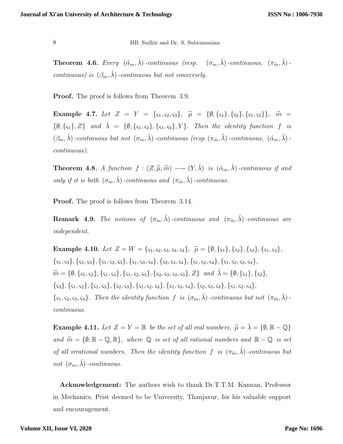**Theorem 4.6.** Every  $(\check{\alpha}_m, \acute{\lambda})$ -continuous (resp.  $(\sigma_m, \acute{\lambda})$ -continuous,  $(\pi_{\widetilde{m}}, \acute{\lambda})$ continuous) is  $(\beta_m, \hat{\lambda})$ -continuous but not conversely.

Proof. The proof is follows from Theorem 3.9.

Example 4.7. Let  $Z = Y = {\varsigma_1, \varsigma_2, \varsigma_3}, \tilde{\mu} = {\emptyset, {\varsigma_1}, {\varsigma_2}, {\varsigma_3}, \tilde{\varsigma_1}, \varsigma_2}, \ldots, \tilde{\varsigma_n} =$  $\{\emptyset, \{\varsigma_1\}, Z\}$  and  $\lambda = \{\emptyset, \{\varsigma_1, \varsigma_2\}, \{\varsigma_1, \varsigma_3\}, Y\}$ . Then the identity function f is  $(\beta_m, \hat{\lambda})$ -continuous but not  $(\sigma_m, \hat{\lambda})$ -continuous (resp. $(\pi_{\tilde{m}}, \hat{\lambda})$ -continuous,  $(\alpha_m, \hat{\lambda})$ continuous).

**Theorem 4.8.** A function  $f : (Z, \tilde{\mu}, \tilde{m}) \longrightarrow (Y, \lambda)$  is  $(\alpha_m, \lambda)$ -continuous if and only if it is both  $(\sigma_m, \acute{\lambda})$ -continuous and  $(\pi_{\widetilde{m}}, \acute{\lambda})$ -continuous.

Proof. The proof is follows from Theorem 3.14.

**Remark 4.9.** The notions of  $(\sigma_m, \hat{\lambda})$ -continuous and  $(\pi_{\tilde{m}}, \hat{\lambda})$ -continuous are independent.

Example 4.10. Let  $Z = W = \{\varsigma_1, \varsigma_2, \varsigma_3, \varsigma_4, \varsigma_4\}, \ \tilde{\mu} = \{\emptyset, \{\varsigma_1\}, \{\varsigma_2\}, \{\varsigma_3\}, \{\varsigma_1, \varsigma_2\},\}$  $\{\varsigma_1,\varsigma_3\},\{\varsigma_2,\varsigma_3\},\{\varsigma_1,\varsigma_2,\varsigma_3\},\{\varsigma_1,\varsigma_3,\varsigma_4\},\{\varsigma_2,\varsigma_3,\varsigma_4\},\{\varsigma_1,\varsigma_2,\varsigma_4\},\{\varsigma_1,\varsigma_2,\varsigma_3,\varsigma_4\},$  $\widetilde{m} = \{\emptyset, \{\varsigma_1, \varsigma_2\}, \{\varsigma_1, \varsigma_3\}, \{\varsigma_1, \varsigma_2, \varsigma_3\}, \{\varsigma_2, \varsigma_3, \varsigma_4, \varsigma_5\}, Z\}$  and  $\acute{\lambda} = \{\emptyset, \{\varsigma_1\}, \{\varsigma_2\}, \varsigma_3, \varsigma_4, \varsigma_5\}$  $\{\varsigma_{3}\}, \{\varsigma_{1}, \varsigma_{2}\}, \{\varsigma_{1}, \varsigma_{3}\}, \{\varsigma_{2}, \varsigma_{3}\}, \{\varsigma_{1}, \varsigma_{2}, \varsigma_{3}\}, \{\varsigma_{1}, \varsigma_{3}, \varsigma_{4}\}, \{\varsigma_{2}, \varsigma_{3}, \varsigma_{4}\}, \{\varsigma_{1}, \varsigma_{2}, \varsigma_{4}\},$  $\{\zeta_1, \zeta_2, \zeta_3, \zeta_4\}.$  Then the identity function f is  $(\sigma_m, \lambda)$ -continuous but not  $(\pi_{\widetilde{m}}, \lambda)$ continuous.

**Example 4.11.** Let  $Z = Y = \mathbb{R}$  be the set of all real numbers,  $\widetilde{\mu} = \widetilde{\lambda} = \{\emptyset, \mathbb{R} - \mathbb{Q}\}\$ and  $\widetilde{m} = \{\emptyset, \mathbb{R} - \mathbb{Q}, \mathbb{R}\},\$  where  $\mathbb{Q}$  is set of all rational numbers and  $\mathbb{R} - \mathbb{Q}$  is set of all irrational numbers. Then the identity function f is  $(\pi_{\widetilde{m}}, \acute{\lambda})$ -continuous but not  $(\sigma_m, \hat{\lambda})$ -continuous.

Acknowledgement: The authors wish to thank Dr.T.T.M. Kannan, Professor in Mechanics, Prist deemed to be University, Thanjavur, for his valuable support and encouragement.